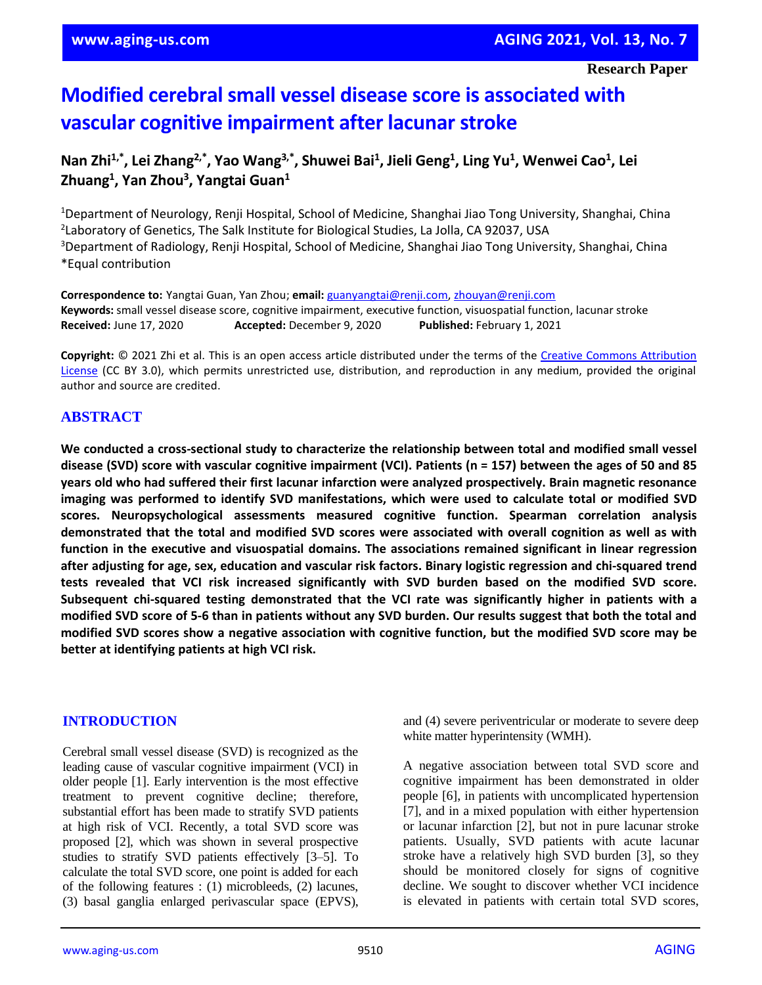# **Modified cerebral small vessel disease score is associated with vascular cognitive impairment after lacunar stroke**

# **Nan Zhi1,\* , Lei Zhang2,\* , Yao Wang3,\* , Shuwei Bai<sup>1</sup> , Jieli Geng<sup>1</sup> , Ling Yu<sup>1</sup> , Wenwei Cao<sup>1</sup> , Lei Zhuang<sup>1</sup> , Yan Zhou<sup>3</sup> , Yangtai Guan<sup>1</sup>**

<sup>1</sup>Department of Neurology, Renji Hospital, School of Medicine, Shanghai Jiao Tong University, Shanghai, China 2 Laboratory of Genetics, The Salk Institute for Biological Studies, La Jolla, CA 92037, USA <sup>3</sup>Department of Radiology, Renji Hospital, School of Medicine, Shanghai Jiao Tong University, Shanghai, China \*Equal contribution

**Correspondence to:** Yangtai Guan, Yan Zhou; **email:** [guanyangtai@renji.com,](mailto:guanyangtai@renji.com) [zhouyan@renji.com](mailto:zhouyan@renji.com) **Keywords:** small vessel disease score, cognitive impairment, executive function, visuospatial function, lacunar stroke **Received:** June 17, 2020 **Accepted:** December 9, 2020 **Published:** February 1, 2021

**Copyright:** © 2021 Zhi et al. This is an open access article distributed under the terms of the [Creative Commons Attribution](https://creativecommons.org/licenses/by/3.0/)  [License](https://creativecommons.org/licenses/by/3.0/) (CC BY 3.0), which permits unrestricted use, distribution, and reproduction in any medium, provided the original author and source are credited.

# **ABSTRACT**

**We conducted a cross-sectional study to characterize the relationship between total and modified small vessel** disease (SVD) score with vascular cognitive impairment (VCI). Patients ( $n = 157$ ) between the ages of 50 and 85 **years old who had suffered their first lacunar infarction were analyzed prospectively. Brain magnetic resonance imaging was performed to identify SVD manifestations, which were used to calculate total or modified SVD scores. Neuropsychological assessments measured cognitive function. Spearman correlation analysis** demonstrated that the total and modified SVD scores were associated with overall cognition as well as with **function in the executive and visuospatial domains. The associations remained significant in linear regression** after adjusting for age, sex, education and vascular risk factors. Binary logistic regression and chi-squared trend **tests revealed that VCI risk increased significantly with SVD burden based on the modified SVD score. Subsequent chi-squared testing demonstrated that the VCI rate was significantly higher in patients with a** modified SVD score of 5-6 than in patients without any SVD burden. Our results suggest that both the total and modified SVD scores show a negative association with cognitive function, but the modified SVD score may be **better at identifying patients at high VCI risk.**

### **INTRODUCTION**

Cerebral small vessel disease (SVD) is recognized as the leading cause of vascular cognitive impairment (VCI) in older people [1]. Early intervention is the most effective treatment to prevent cognitive decline; therefore, substantial effort has been made to stratify SVD patients at high risk of VCI. Recently, a total SVD score was proposed [2], which was shown in several prospective studies to stratify SVD patients effectively [3–5]. To calculate the total SVD score, one point is added for each of the following features : (1) microbleeds, (2) lacunes, (3) basal ganglia enlarged perivascular space (EPVS), and (4) severe periventricular or moderate to severe deep white matter hyperintensity (WMH).

A negative association between total SVD score and cognitive impairment has been demonstrated in older people [6], in patients with uncomplicated hypertension [7], and in a mixed population with either hypertension or lacunar infarction [2], but not in pure lacunar stroke patients. Usually, SVD patients with acute lacunar stroke have a relatively high SVD burden [3], so they should be monitored closely for signs of cognitive decline. We sought to discover whether VCI incidence is elevated in patients with certain total SVD scores,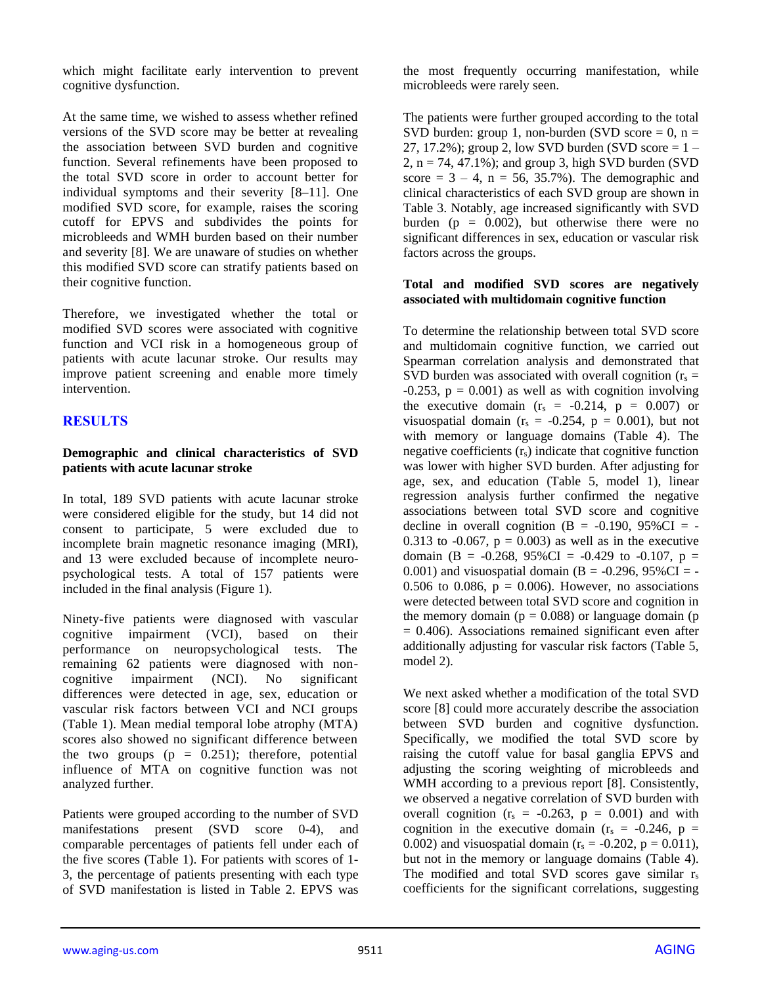which might facilitate early intervention to prevent cognitive dysfunction.

At the same time, we wished to assess whether refined versions of the SVD score may be better at revealing the association between SVD burden and cognitive function. Several refinements have been proposed to the total SVD score in order to account better for individual symptoms and their severity [8–11]. One modified SVD score, for example, raises the scoring cutoff for EPVS and subdivides the points for microbleeds and WMH burden based on their number and severity [8]. We are unaware of studies on whether this modified SVD score can stratify patients based on their cognitive function.

Therefore, we investigated whether the total or modified SVD scores were associated with cognitive function and VCI risk in a homogeneous group of patients with acute lacunar stroke. Our results may improve patient screening and enable more timely intervention.

# **RESULTS**

#### **Demographic and clinical characteristics of SVD patients with acute lacunar stroke**

In total, 189 SVD patients with acute lacunar stroke were considered eligible for the study, but 14 did not consent to participate, 5 were excluded due to incomplete brain magnetic resonance imaging (MRI), and 13 were excluded because of incomplete neuropsychological tests. A total of 157 patients were included in the final analysis (Figure 1).

Ninety-five patients were diagnosed with vascular cognitive impairment (VCI), based on their performance on neuropsychological tests. The remaining 62 patients were diagnosed with noncognitive impairment (NCI). No significant differences were detected in age, sex, education or vascular risk factors between VCI and NCI groups (Table 1). Mean medial temporal lobe atrophy (MTA) scores also showed no significant difference between the two groups  $(p = 0.251)$ ; therefore, potential influence of MTA on cognitive function was not analyzed further.

Patients were grouped according to the number of SVD manifestations present (SVD score 0-4), and comparable percentages of patients fell under each of the five scores (Table 1). For patients with scores of 1- 3, the percentage of patients presenting with each type of SVD manifestation is listed in Table 2. EPVS was

the most frequently occurring manifestation, while microbleeds were rarely seen.

The patients were further grouped according to the total SVD burden: group 1, non-burden (SVD score  $= 0$ , n  $=$ 27, 17.2%); group 2, low SVD burden (SVD score  $= 1 2$ ,  $n = 74$ , 47.1%); and group 3, high SVD burden (SVD) score =  $3 - 4$ , n = 56, 35.7%). The demographic and clinical characteristics of each SVD group are shown in Table 3. Notably, age increased significantly with SVD burden ( $p = 0.002$ ), but otherwise there were no significant differences in sex, education or vascular risk factors across the groups.

#### **Total and modified SVD scores are negatively associated with multidomain cognitive function**

To determine the relationship between total SVD score and multidomain cognitive function, we carried out Spearman correlation analysis and demonstrated that SVD burden was associated with overall cognition ( $r_s$  =  $-0.253$ ,  $p = 0.001$ ) as well as with cognition involving the executive domain  $(r<sub>s</sub> = -0.214, p = 0.007)$  or visuospatial domain ( $r_s = -0.254$ ,  $p = 0.001$ ), but not with memory or language domains (Table 4). The negative coefficients (rs) indicate that cognitive function was lower with higher SVD burden. After adjusting for age, sex, and education (Table 5, model 1), linear regression analysis further confirmed the negative associations between total SVD score and cognitive decline in overall cognition  $(B = -0.190, 95\%CI = -1)$ 0.313 to  $-0.067$ ,  $p = 0.003$ ) as well as in the executive domain (B =  $-0.268$ , 95%CI =  $-0.429$  to  $-0.107$ , p = 0.001) and visuospatial domain (B = -0.296, 95%CI = -0.506 to 0.086,  $p = 0.006$ . However, no associations were detected between total SVD score and cognition in the memory domain ( $p = 0.088$ ) or language domain ( $p = 0.088$ )  $= 0.406$ ). Associations remained significant even after additionally adjusting for vascular risk factors (Table 5, model 2).

We next asked whether a modification of the total SVD score [8] could more accurately describe the association between SVD burden and cognitive dysfunction. Specifically, we modified the total SVD score by raising the cutoff value for basal ganglia EPVS and adjusting the scoring weighting of microbleeds and WMH according to a previous report [8]. Consistently, we observed a negative correlation of SVD burden with overall cognition  $(r_s = -0.263, p = 0.001)$  and with cognition in the executive domain  $(r_s = -0.246, p =$ 0.002) and visuospatial domain ( $r_s = -0.202$ ,  $p = 0.011$ ), but not in the memory or language domains (Table 4). The modified and total SVD scores gave similar  $r_s$ coefficients for the significant correlations, suggesting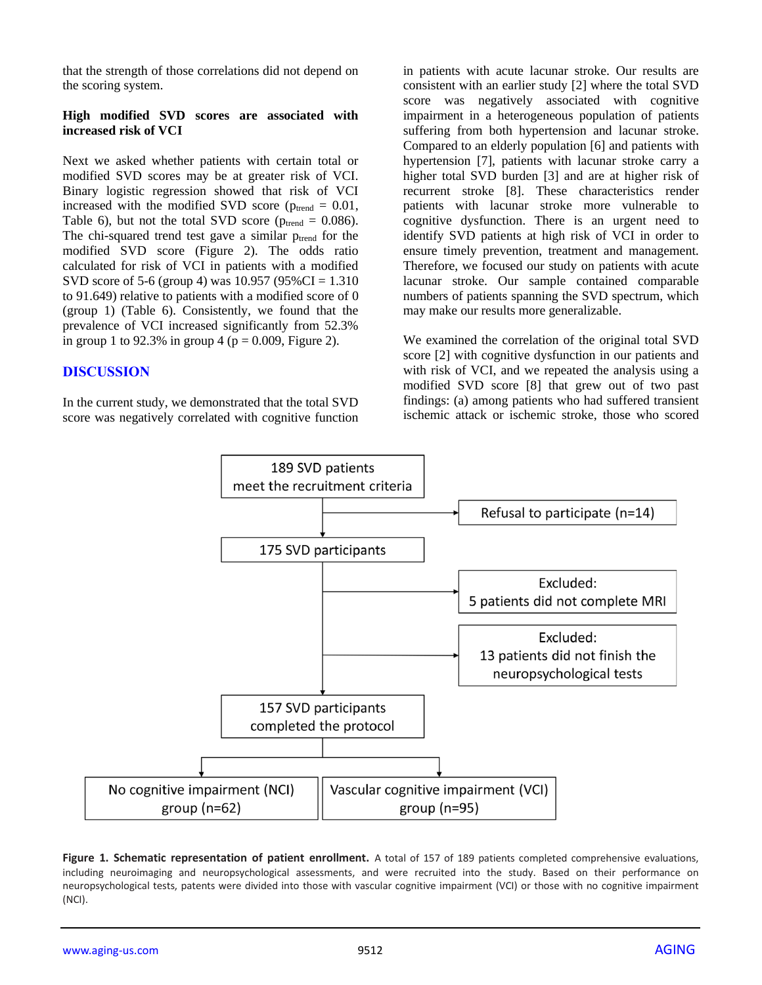that the strength of those correlations did not depend on the scoring system.

#### **High modified SVD scores are associated with increased risk of VCI**

Next we asked whether patients with certain total or modified SVD scores may be at greater risk of VCI. Binary logistic regression showed that risk of VCI increased with the modified SVD score ( $p_{\text{trend}} = 0.01$ , Table 6), but not the total SVD score ( $p_{trend} = 0.086$ ). The chi-squared trend test gave a similar  $p_{trend}$  for the modified SVD score (Figure 2). The odds ratio calculated for risk of VCI in patients with a modified SVD score of 5-6 (group 4) was 10.957 (95%CI = 1.310 to 91.649) relative to patients with a modified score of 0 (group 1) (Table 6). Consistently, we found that the prevalence of VCI increased significantly from 52.3% in group 1 to 92.3% in group 4 ( $p = 0.009$ , Figure 2).

## **DISCUSSION**

In the current study, we demonstrated that the total SVD score was negatively correlated with cognitive function in patients with acute lacunar stroke. Our results are consistent with an earlier study [2] where the total SVD score was negatively associated with cognitive impairment in a heterogeneous population of patients suffering from both hypertension and lacunar stroke. Compared to an elderly population [6] and patients with hypertension [7], patients with lacunar stroke carry a higher total SVD burden [3] and are at higher risk of recurrent stroke [8]. These characteristics render patients with lacunar stroke more vulnerable to cognitive dysfunction. There is an urgent need to identify SVD patients at high risk of VCI in order to ensure timely prevention, treatment and management. Therefore, we focused our study on patients with acute lacunar stroke. Our sample contained comparable numbers of patients spanning the SVD spectrum, which may make our results more generalizable.

We examined the correlation of the original total SVD score [2] with cognitive dysfunction in our patients and with risk of VCI, and we repeated the analysis using a modified SVD score [8] that grew out of two past findings: (a) among patients who had suffered transient ischemic attack or ischemic stroke, those who scored



**Figure 1. Schematic representation of patient enrollment.** A total of 157 of 189 patients completed comprehensive evaluations, including neuroimaging and neuropsychological assessments, and were recruited into the study. Based on their performance on neuropsychological tests, patents were divided into those with vascular cognitive impairment (VCI) or those with no cognitive impairment (NCI).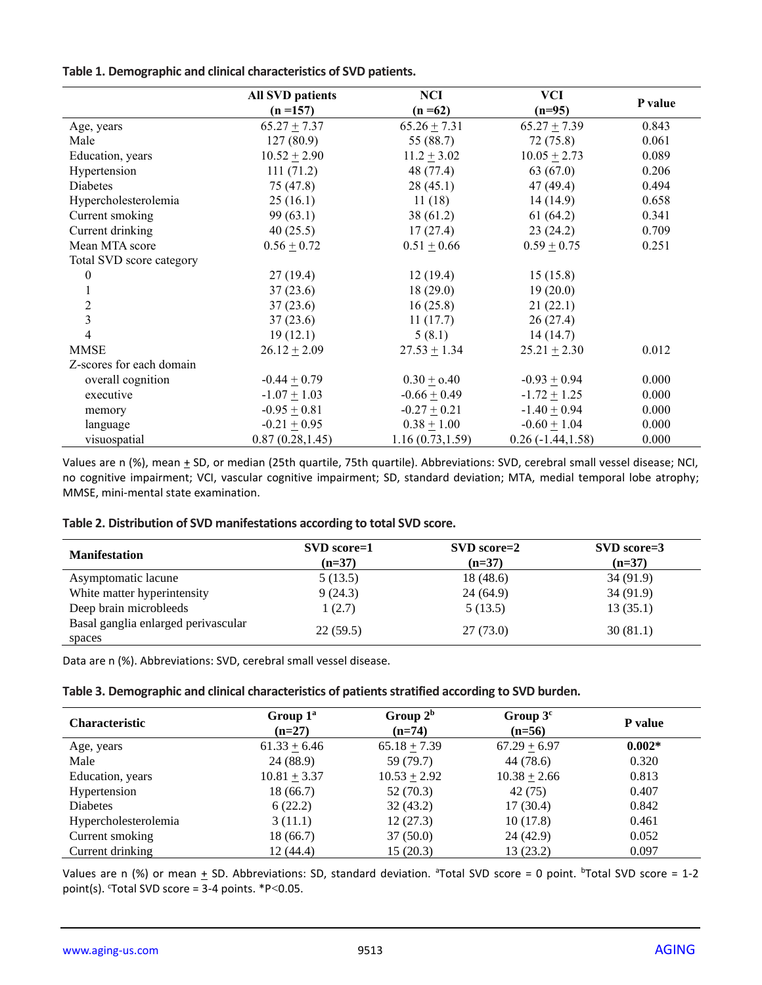### **Table 1. Demographic and clinical characteristics of SVD patients.**

|                          | <b>All SVD patients</b> | <b>NCI</b>       | <b>VCI</b>          |         |
|--------------------------|-------------------------|------------------|---------------------|---------|
|                          | $(n = 157)$             | $(n = 62)$       | $(n=95)$            | P value |
| Age, years               | $65.27 + 7.37$          | $65.26 + 7.31$   | $65.27 + 7.39$      | 0.843   |
| Male                     | 127(80.9)               | 55 (88.7)        | 72(75.8)            | 0.061   |
| Education, years         | $10.52 \pm 2.90$        | $11.2 + 3.02$    | $10.05 \pm 2.73$    | 0.089   |
| Hypertension             | 111(71.2)               | 48 (77.4)        | 63(67.0)            | 0.206   |
| Diabetes                 | 75 (47.8)               | 28(45.1)         | 47(49.4)            | 0.494   |
| Hypercholesterolemia     | 25(16.1)                | 11(18)           | 14(14.9)            | 0.658   |
| Current smoking          | 99(63.1)                | 38(61.2)         | 61(64.2)            | 0.341   |
| Current drinking         | 40(25.5)                | 17(27.4)         | 23(24.2)            | 0.709   |
| Mean MTA score           | $0.56 + 0.72$           | $0.51 + 0.66$    | $0.59 + 0.75$       | 0.251   |
| Total SVD score category |                         |                  |                     |         |
| $\boldsymbol{0}$         | 27(19.4)                | 12(19.4)         | 15(15.8)            |         |
|                          | 37(23.6)                | 18(29.0)         | 19(20.0)            |         |
| $\overline{c}$           | 37(23.6)                | 16(25.8)         | 21(22.1)            |         |
| $\overline{3}$           | 37(23.6)                | 11(17.7)         | 26(27.4)            |         |
| $\overline{4}$           | 19(12.1)                | 5(8.1)           | 14(14.7)            |         |
| <b>MMSE</b>              | $26.12 \pm 2.09$        | $27.53 \pm 1.34$ | $25.21 \pm 2.30$    | 0.012   |
| Z-scores for each domain |                         |                  |                     |         |
| overall cognition        | $-0.44 + 0.79$          | $0.30 + 0.40$    | $-0.93 + 0.94$      | 0.000   |
| executive                | $-1.07 + 1.03$          | $-0.66 \pm 0.49$ | $-1.72 \pm 1.25$    | 0.000   |
| memory                   | $-0.95 + 0.81$          | $-0.27 + 0.21$   | $-1.40 + 0.94$      | 0.000   |
| language                 | $-0.21 + 0.95$          | $0.38 + 1.00$    | $-0.60 + 1.04$      | 0.000   |
| visuospatial             | 0.87(0.28, 1.45)        | 1.16(0.73, 1.59) | $0.26(-1.44, 1.58)$ | 0.000   |

Values are n (%), mean  $\pm$  SD, or median (25th quartile, 75th quartile). Abbreviations: SVD, cerebral small vessel disease; NCI, no cognitive impairment; VCI, vascular cognitive impairment; SD, standard deviation; MTA, medial temporal lobe atrophy; MMSE, mini-mental state examination.

#### **Table 2. Distribution of SVD manifestations according to total SVD score.**

| SVD score=1<br>$(n=37)$ | SVD score=2<br>$(n=37)$ | $SVD$ score=3<br>$(n=37)$ |
|-------------------------|-------------------------|---------------------------|
| 5(13.5)                 | 18 (48.6)               | 34(91.9)                  |
| 9(24.3)                 | 24(64.9)                | 34(91.9)                  |
| 1(2.7)                  | 5(13.5)                 | 13(35.1)                  |
| 22(59.5)                | 27(73.0)                | 30(81.1)                  |
|                         |                         |                           |

Data are n (%). Abbreviations: SVD, cerebral small vessel disease.

#### **Table 3. Demographic and clinical characteristics of patients stratified according to SVD burden.**

| <b>Characteristic</b> | Group $1^a$<br>$(n=27)$ | Group $2^b$<br>$(n=74)$ | Group $3c$<br>$(n=56)$ | <b>P</b> value |
|-----------------------|-------------------------|-------------------------|------------------------|----------------|
| Age, years            | $61.33 + 6.46$          | $65.18 + 7.39$          | $67.29 + 6.97$         | $0.002*$       |
| Male                  | 24 (88.9)               | 59 (79.7)               | 44 (78.6)              | 0.320          |
| Education, years      | $10.81 + 3.37$          | $10.53 + 2.92$          | $10.38 + 2.66$         | 0.813          |
| Hypertension          | 18(66.7)                | 52 (70.3)               | 42 (75)                | 0.407          |
| <b>Diabetes</b>       | 6(22.2)                 | 32(43.2)                | 17(30.4)               | 0.842          |
| Hypercholesterolemia  | 3(11.1)                 | 12(27.3)                | 10(17.8)               | 0.461          |
| Current smoking       | 18(66.7)                | 37(50.0)                | 24(42.9)               | 0.052          |
| Current drinking      | 12(44.4)                | 15(20.3)                | 13(23.2)               | 0.097          |

Values are n (%) or mean  $\pm$  SD. Abbreviations: SD, standard deviation. <sup>a</sup>Total SVD score = 0 point. <sup>b</sup>Total SVD score = 1-2 point(s).  $C$ Total SVD score = 3-4 points.  $P$ <0.05.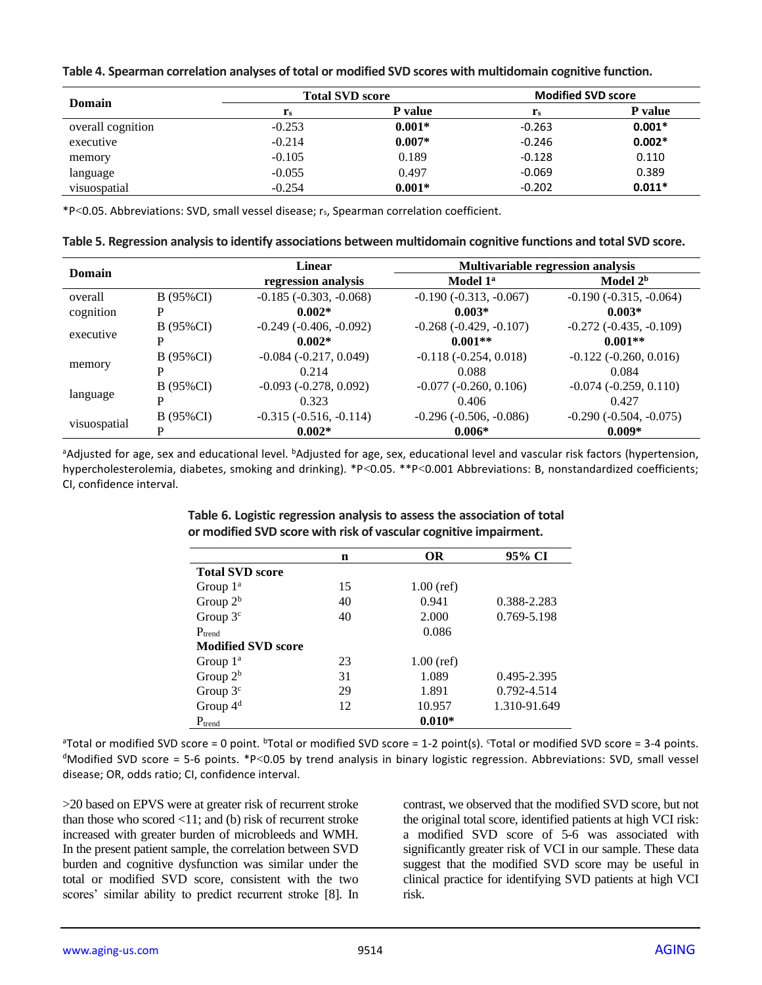| Table 4. Spearman correlation analyses of total or modified SVD scores with multidomain cognitive function. |  |  |
|-------------------------------------------------------------------------------------------------------------|--|--|
|-------------------------------------------------------------------------------------------------------------|--|--|

| Domain            |                         | <b>Total SVD score</b> |                | <b>Modified SVD score</b> |  |
|-------------------|-------------------------|------------------------|----------------|---------------------------|--|
|                   | $\mathbf{r}_\mathrm{s}$ | <b>P</b> value         | $\mathbf{r}_s$ | <b>P</b> value            |  |
| overall cognition | $-0.253$                | $0.001*$               | $-0.263$       | $0.001*$                  |  |
| executive         | $-0.214$                | $0.007*$               | $-0.246$       | $0.002*$                  |  |
| memory            | $-0.105$                | 0.189                  | $-0.128$       | 0.110                     |  |
| language          | $-0.055$                | 0.497                  | $-0.069$       | 0.389                     |  |
| visuospatial      | $-0.254$                | $0.001*$               | $-0.202$       | $0.011*$                  |  |

\*P<0.05. Abbreviations: SVD, small vessel disease; rs, Spearman correlation coefficient.

**Table 5. Regression analysis to identify associations between multidomain cognitive functions and total SVD score.**

| <b>Domain</b> |           | Linear                      | Multivariable regression analysis |                             |  |
|---------------|-----------|-----------------------------|-----------------------------------|-----------------------------|--|
|               |           | regression analysis         | Model 1 <sup>a</sup>              | Model 2 <sup>b</sup>        |  |
| overall       | B (95%CI) | $-0.185$ $(-0.303, -0.068)$ | $-0.190(-0.313, -0.067)$          | $-0.190(-0.315, -0.064)$    |  |
| cognition     | P         | $0.002*$                    | $0.003*$                          | $0.003*$                    |  |
|               | B (95%CI) | $-0.249$ $(-0.406, -0.092)$ | $-0.268$ $(-0.429, -0.107)$       | $-0.272$ $(-0.435, -0.109)$ |  |
| executive     | P         | $0.002*$                    | $0.001**$                         | $0.001**$                   |  |
|               | B (95%CI) | $-0.084$ $(-0.217, 0.049)$  | $-0.118(-0.254, 0.018)$           | $-0.122$ $(-0.260, 0.016)$  |  |
| memory        | P         | 0.214                       | 0.088                             | 0.084                       |  |
|               | B (95%CI) | $-0.093 (-0.278, 0.092)$    | $-0.077$ $(-0.260, 0.106)$        | $-0.074$ $(-0.259, 0.110)$  |  |
| language      | P         | 0.323                       | 0.406                             | 0.427                       |  |
|               | B (95%CI) | $-0.315$ $(-0.516, -0.114)$ | $-0.296 (-0.506, -0.086)$         | $-0.290$ $(-0.504, -0.075)$ |  |
| visuospatial  | P         | $0.002*$                    | $0.006*$                          | $0.009*$                    |  |

aAdjusted for age, sex and educational level. bAdjusted for age, sex, educational level and vascular risk factors (hypertension, hypercholesterolemia, diabetes, smoking and drinking). \*P<0.05. \*\*P<0.001 Abbreviations: B, nonstandardized coefficients; CI, confidence interval.

|                           | $\mathbf n$ | <b>OR</b>    | 95% CI          |
|---------------------------|-------------|--------------|-----------------|
| <b>Total SVD score</b>    |             |              |                 |
| Group $1^a$               | 15          | $1.00$ (ref) |                 |
| Group $2^b$               | 40          | 0.941        | 0.388-2.283     |
| Group $3c$                | 40          | 2.000        | 0.769-5.198     |
| $P_{trend}$               |             | 0.086        |                 |
| <b>Modified SVD score</b> |             |              |                 |
| Group $1^a$               | 23          | $1.00$ (ref) |                 |
| Group $2^b$               | 31          | 1.089        | $0.495 - 2.395$ |
| Group $3c$                | 29          | 1.891        | 0.792-4.514     |
| Group $4d$                | 12          | 10.957       | 1.310-91.649    |
| $P_{trend}$               |             | $0.010*$     |                 |

**Table 6. Logistic regression analysis to assess the association of total or modified SVD score with risk of vascular cognitive impairment.**

<sup>a</sup>Total or modified SVD score = 0 point. <sup>b</sup>Total or modified SVD score = 1-2 point(s). <sup>c</sup>Total or modified SVD score = 3-4 points. <sup>d</sup>Modified SVD score = 5-6 points. \*P<0.05 by trend analysis in binary logistic regression. Abbreviations: SVD, small vessel disease; OR, odds ratio; CI, confidence interval.

>20 based on EPVS were at greater risk of recurrent stroke than those who scored  $\langle 11$ ; and (b) risk of recurrent stroke increased with greater burden of microbleeds and WMH. In the present patient sample, the correlation between SVD burden and cognitive dysfunction was similar under the total or modified SVD score, consistent with the two scores' similar ability to predict recurrent stroke [8]. In

contrast, we observed that the modified SVD score, but not the original total score, identified patients at high VCI risk: a modified SVD score of 5-6 was associated with significantly greater risk of VCI in our sample. These data suggest that the modified SVD score may be useful in clinical practice for identifying SVD patients at high VCI risk.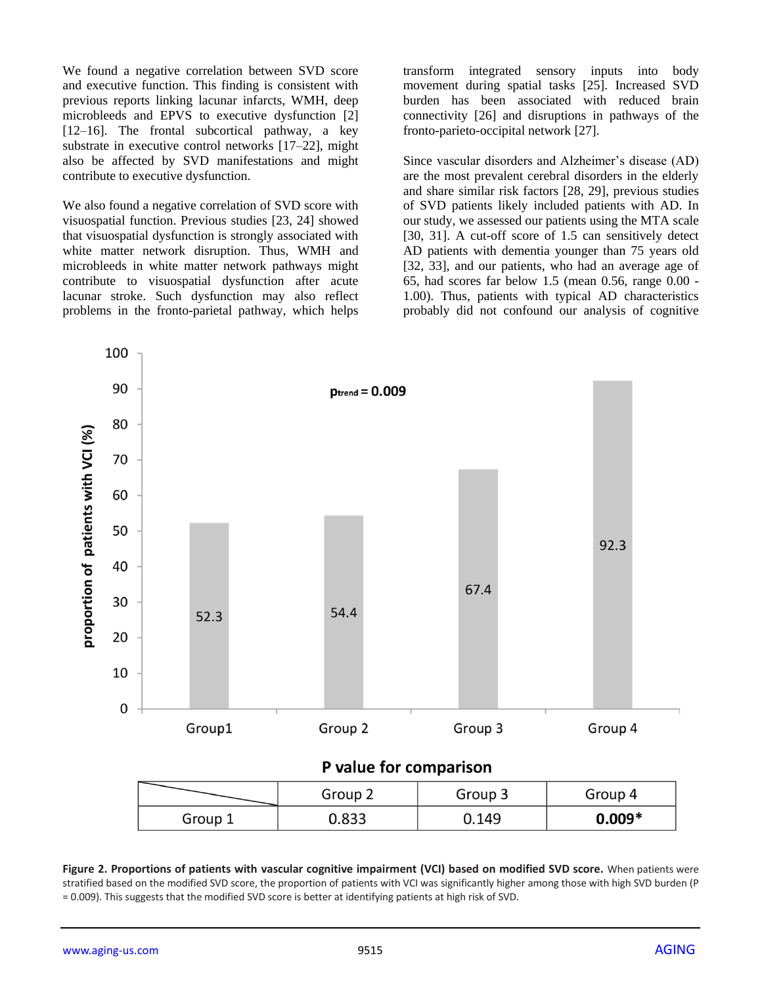We found a negative correlation between SVD score and executive function. This finding is consistent with previous reports linking lacunar infarcts, WMH, deep microbleeds and EPVS to executive dysfunction [2] [12–16]. The frontal subcortical pathway, a key substrate in executive control networks [17–22], might also be affected by SVD manifestations and might contribute to executive dysfunction.

We also found a negative correlation of SVD score with visuospatial function. Previous studies [23, 24] showed that visuospatial dysfunction is strongly associated with white matter network disruption. Thus, WMH and microbleeds in white matter network pathways might contribute to visuospatial dysfunction after acute lacunar stroke. Such dysfunction may also reflect problems in the fronto-parietal pathway, which helps transform integrated sensory inputs into body movement during spatial tasks [25]. Increased SVD burden has been associated with reduced brain connectivity [26] and disruptions in pathways of the fronto-parieto-occipital network [27].

Since vascular disorders and Alzheimer's disease (AD) are the most prevalent cerebral disorders in the elderly and share similar risk factors [28, 29], previous studies of SVD patients likely included patients with AD. In our study, we assessed our patients using the MTA scale [30, 31]. A cut-off score of 1.5 can sensitively detect AD patients with dementia younger than 75 years old [32, 33], and our patients, who had an average age of 65, had scores far below 1.5 (mean 0.56, range 0.00 - 1.00). Thus, patients with typical AD characteristics probably did not confound our analysis of cognitive



# P value for comparison

|         | Group 2 | Group 3 | Group 4  |
|---------|---------|---------|----------|
| Group 1 | 0.833   | J.149   | $0.009*$ |

**Figure 2. Proportions of patients with vascular cognitive impairment (VCI) based on modified SVD score.** When patients were stratified based on the modified SVD score, the proportion of patients with VCI was significantly higher among those with high SVD burden (P = 0.009). This suggests that the modified SVD score is better at identifying patients at high risk of SVD.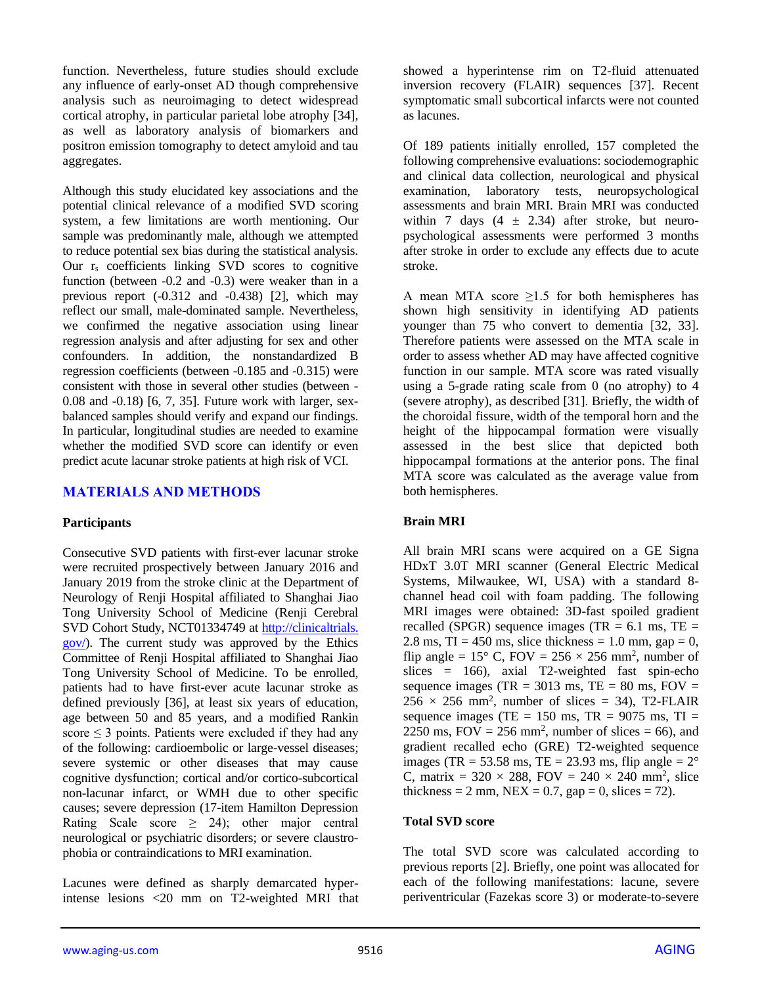function. Nevertheless, future studies should exclude any influence of early-onset AD though comprehensive analysis such as neuroimaging to detect widespread cortical atrophy, in particular parietal lobe atrophy [34], as well as laboratory analysis of biomarkers and positron emission tomography to detect amyloid and tau aggregates.

Although this study elucidated key associations and the potential clinical relevance of a modified SVD scoring system, a few limitations are worth mentioning. Our sample was predominantly male, although we attempted to reduce potential sex bias during the statistical analysis. Our  $r_s$  coefficients linking SVD scores to cognitive function (between -0.2 and -0.3) were weaker than in a previous report (-0.312 and -0.438) [2], which may reflect our small, male-dominated sample. Nevertheless, we confirmed the negative association using linear regression analysis and after adjusting for sex and other confounders. In addition, the nonstandardized B regression coefficients (between -0.185 and -0.315) were consistent with those in several other studies (between - 0.08 and -0.18) [6, 7, 35]. Future work with larger, sexbalanced samples should verify and expand our findings. In particular, longitudinal studies are needed to examine whether the modified SVD score can identify or even predict acute lacunar stroke patients at high risk of VCI.

## **MATERIALS AND METHODS**

#### **Participants**

Consecutive SVD patients with first-ever lacunar stroke were recruited prospectively between January 2016 and January 2019 from the stroke clinic at the Department of Neurology of Renji Hospital affiliated to Shanghai Jiao Tong University School of Medicine (Renji Cerebral SVD Cohort Study, NCT01334749 at [http://clinicaltrials.](http://clinicaltrials.gov/) [gov/\)](http://clinicaltrials.gov/). The current study was approved by the Ethics Committee of Renji Hospital affiliated to Shanghai Jiao Tong University School of Medicine. To be enrolled, patients had to have first-ever acute lacunar stroke as defined previously [36], at least six years of education, age between 50 and 85 years, and a modified Rankin score  $\leq$  3 points. Patients were excluded if they had any of the following: cardioembolic or large-vessel diseases; severe systemic or other diseases that may cause cognitive dysfunction; cortical and/or cortico-subcortical non-lacunar infarct, or WMH due to other specific causes; severe depression (17-item Hamilton Depression Rating Scale score  $\geq$  24); other major central neurological or psychiatric disorders; or severe claustrophobia or contraindications to MRI examination.

Lacunes were defined as sharply demarcated hyperintense lesions <20 mm on T2-weighted MRI that showed a hyperintense rim on T2-fluid attenuated inversion recovery (FLAIR) sequences [37]. Recent symptomatic small subcortical infarcts were not counted as lacunes.

Of 189 patients initially enrolled, 157 completed the following comprehensive evaluations: sociodemographic and clinical data collection, neurological and physical examination, laboratory tests, neuropsychological assessments and brain MRI. Brain MRI was conducted within 7 days  $(4 \pm 2.34)$  after stroke, but neuropsychological assessments were performed 3 months after stroke in order to exclude any effects due to acute stroke.

A mean MTA score  $\geq 1.5$  for both hemispheres has shown high sensitivity in identifying AD patients younger than 75 who convert to dementia [32, 33]. Therefore patients were assessed on the MTA scale in order to assess whether AD may have affected cognitive function in our sample. MTA score was rated visually using a 5-grade rating scale from 0 (no atrophy) to 4 (severe atrophy), as described [31]. Briefly, the width of the choroidal fissure, width of the temporal horn and the height of the hippocampal formation were visually assessed in the best slice that depicted both hippocampal formations at the anterior pons. The final MTA score was calculated as the average value from both hemispheres.

### **Brain MRI**

All brain MRI scans were acquired on a GE Signa HDxT 3.0T MRI scanner (General Electric Medical Systems, Milwaukee, WI, USA) with a standard 8 channel head coil with foam padding. The following MRI images were obtained: 3D-fast spoiled gradient recalled (SPGR) sequence images (TR  $= 6.1$  ms, TE  $=$ 2.8 ms,  $TI = 450$  ms, slice thickness = 1.0 mm, gap = 0, flip angle =  $15^{\circ}$  C, FOV =  $256 \times 256$  mm<sup>2</sup>, number of slices  $= 166$ , axial T2-weighted fast spin-echo sequence images (TR =  $3013$  ms, TE =  $80$  ms, FOV =  $256 \times 256$  mm<sup>2</sup>, number of slices = 34), T2-FLAIR sequence images (TE =  $150$  ms, TR =  $9075$  ms, TI = 2250 ms,  $FOV = 256$  mm<sup>2</sup>, number of slices = 66), and gradient recalled echo (GRE) T2-weighted sequence images (TR = 53.58 ms, TE = 23.93 ms, flip angle =  $2^{\circ}$ C, matrix =  $320 \times 288$ , FOV =  $240 \times 240$  mm<sup>2</sup>, slice thickness = 2 mm,  $NEX = 0.7$ , gap = 0, slices = 72).

#### **Total SVD score**

The total SVD score was calculated according to previous reports [2]. Briefly, one point was allocated for each of the following manifestations: lacune, severe periventricular (Fazekas score 3) or moderate-to-severe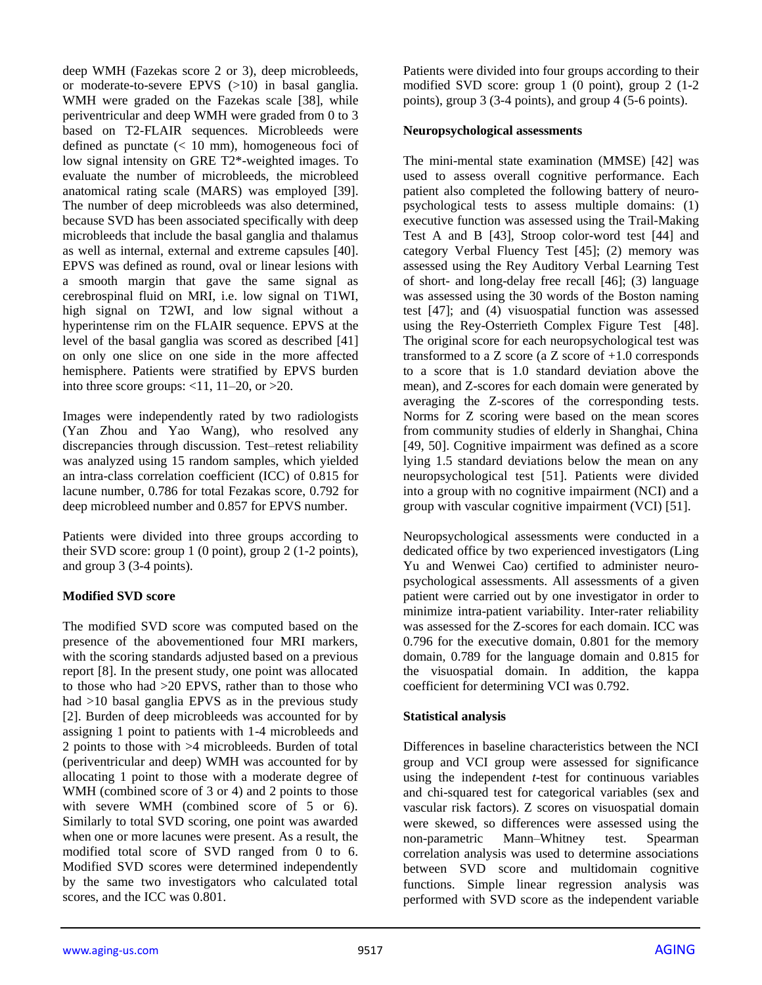deep WMH (Fazekas score 2 or 3), deep microbleeds, or moderate-to-severe EPVS (>10) in basal ganglia. WMH were graded on the Fazekas scale [38], while periventricular and deep WMH were graded from 0 to 3 based on T2-FLAIR sequences. Microbleeds were defined as punctate  $(< 10$  mm), homogeneous foci of low signal intensity on GRE T2\*-weighted images. To evaluate the number of microbleeds, the microbleed anatomical rating scale (MARS) was employed [39]. The number of deep microbleeds was also determined, because SVD has been associated specifically with deep microbleeds that include the basal ganglia and thalamus as well as internal, external and extreme capsules [40]. EPVS was defined as round, oval or linear lesions with a smooth margin that gave the same signal as cerebrospinal fluid on MRI, i.e. low signal on T1WI, high signal on T2WI, and low signal without a hyperintense rim on the FLAIR sequence. EPVS at the level of the basal ganglia was scored as described [41] on only one slice on one side in the more affected hemisphere. Patients were stratified by EPVS burden into three score groups:  $\langle 11, 11-20, 0r \rangle$ 

Images were independently rated by two radiologists (Yan Zhou and Yao Wang), who resolved any discrepancies through discussion. Test–retest reliability was analyzed using 15 random samples, which yielded an intra-class correlation coefficient (ICC) of 0.815 for lacune number, 0.786 for total Fezakas score, 0.792 for deep microbleed number and 0.857 for EPVS number.

Patients were divided into three groups according to their SVD score: group 1 (0 point), group 2 (1-2 points), and group 3 (3-4 points).

### **Modified SVD score**

The modified SVD score was computed based on the presence of the abovementioned four MRI markers, with the scoring standards adjusted based on a previous report [8]. In the present study, one point was allocated to those who had >20 EPVS, rather than to those who had >10 basal ganglia EPVS as in the previous study [2]. Burden of deep microbleeds was accounted for by assigning 1 point to patients with 1-4 microbleeds and 2 points to those with >4 microbleeds. Burden of total (periventricular and deep) WMH was accounted for by allocating 1 point to those with a moderate degree of WMH (combined score of 3 or 4) and 2 points to those with severe WMH (combined score of 5 or 6). Similarly to total SVD scoring, one point was awarded when one or more lacunes were present. As a result, the modified total score of SVD ranged from 0 to 6. Modified SVD scores were determined independently by the same two investigators who calculated total scores, and the ICC was 0.801.

Patients were divided into four groups according to their modified SVD score: group 1 (0 point), group 2 (1-2 points), group 3 (3-4 points), and group 4 (5-6 points).

### **Neuropsychological assessments**

The mini-mental state examination (MMSE) [42] was used to assess overall cognitive performance. Each patient also completed the following battery of neuropsychological tests to assess multiple domains: (1) executive function was assessed using the Trail-Making Test A and B [43], Stroop color-word test [44] and category Verbal Fluency Test [45]; (2) memory was assessed using the Rey Auditory Verbal Learning Test of short- and long-delay free recall [46]; (3) language was assessed using the 30 words of the Boston naming test [47]; and (4) visuospatial function was assessed using the Rey-Osterrieth Complex Figure Test [48]. The original score for each neuropsychological test was transformed to a Z score (a Z score of +1.0 corresponds to a score that is 1.0 standard deviation above the mean), and Z-scores for each domain were generated by averaging the Z-scores of the corresponding tests. Norms for Z scoring were based on the mean scores from community studies of elderly in Shanghai, China [49, 50]. Cognitive impairment was defined as a score lying 1.5 standard deviations below the mean on any neuropsychological test [51]. Patients were divided into a group with no cognitive impairment (NCI) and a group with vascular cognitive impairment (VCI) [51].

Neuropsychological assessments were conducted in a dedicated office by two experienced investigators (Ling Yu and Wenwei Cao) certified to administer neuropsychological assessments. All assessments of a given patient were carried out by one investigator in order to minimize intra-patient variability. Inter-rater reliability was assessed for the Z-scores for each domain. ICC was 0.796 for the executive domain, 0.801 for the memory domain, 0.789 for the language domain and 0.815 for the visuospatial domain. In addition, the kappa coefficient for determining VCI was 0.792.

### **Statistical analysis**

Differences in baseline characteristics between the NCI group and VCI group were assessed for significance using the independent *t*-test for continuous variables and chi-squared test for categorical variables (sex and vascular risk factors). Z scores on visuospatial domain were skewed, so differences were assessed using the non-parametric Mann–Whitney test. Spearman correlation analysis was used to determine associations between SVD score and multidomain cognitive functions. Simple linear regression analysis was performed with SVD score as the independent variable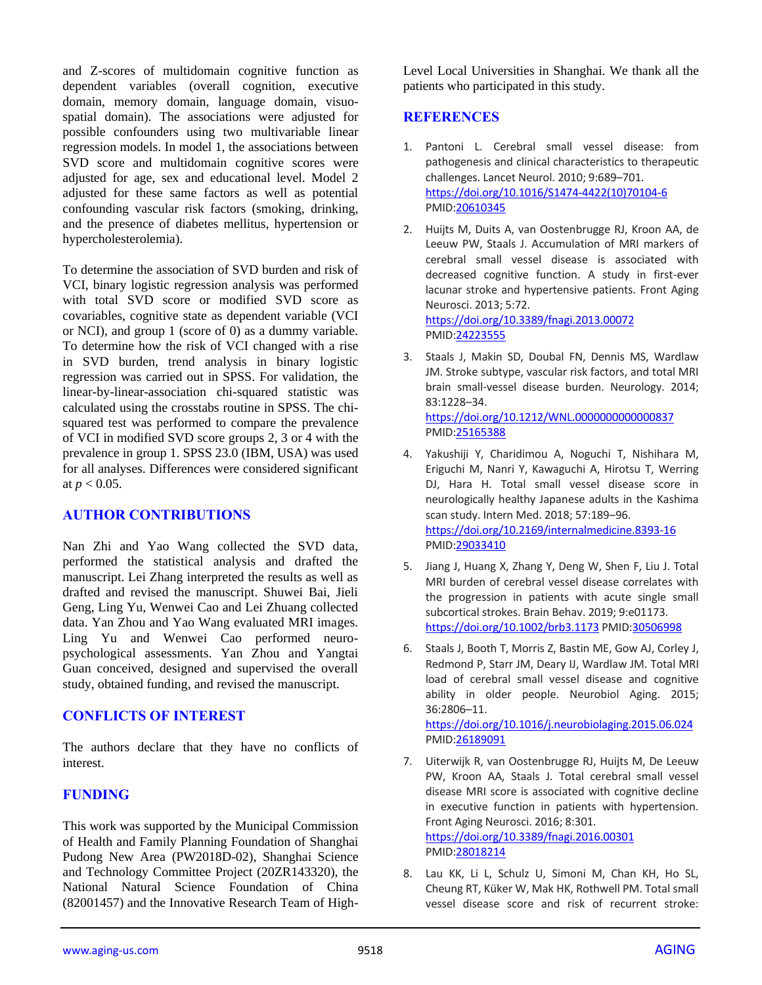and Z-scores of multidomain cognitive function as dependent variables (overall cognition, executive domain, memory domain, language domain, visuospatial domain). The associations were adjusted for possible confounders using two multivariable linear regression models. In model 1, the associations between SVD score and multidomain cognitive scores were adjusted for age, sex and educational level. Model 2 adjusted for these same factors as well as potential confounding vascular risk factors (smoking, drinking, and the presence of diabetes mellitus, hypertension or hypercholesterolemia).

To determine the association of SVD burden and risk of VCI, binary logistic regression analysis was performed with total SVD score or modified SVD score as covariables, cognitive state as dependent variable (VCI or NCI), and group 1 (score of 0) as a dummy variable. To determine how the risk of VCI changed with a rise in SVD burden, trend analysis in binary logistic regression was carried out in SPSS. For validation, the linear-by-linear-association chi-squared statistic was calculated using the crosstabs routine in SPSS. The chisquared test was performed to compare the prevalence of VCI in modified SVD score groups 2, 3 or 4 with the prevalence in group 1. SPSS 23.0 (IBM, USA) was used for all analyses. Differences were considered significant at  $p < 0.05$ .

### **AUTHOR CONTRIBUTIONS**

Nan Zhi and Yao Wang collected the SVD data, performed the statistical analysis and drafted the manuscript. Lei Zhang interpreted the results as well as drafted and revised the manuscript. Shuwei Bai, Jieli Geng, Ling Yu, Wenwei Cao and Lei Zhuang collected data. Yan Zhou and Yao Wang evaluated MRI images. Ling Yu and Wenwei Cao performed neuropsychological assessments. Yan Zhou and Yangtai Guan conceived, designed and supervised the overall study, obtained funding, and revised the manuscript.

### **CONFLICTS OF INTEREST**

The authors declare that they have no conflicts of interest.

# **FUNDING**

This work was supported by the Municipal Commission of Health and Family Planning Foundation of Shanghai Pudong New Area (PW2018D-02), Shanghai Science and Technology Committee Project (20ZR143320), the National Natural Science Foundation of China (82001457) and the Innovative Research Team of HighLevel Local Universities in Shanghai. We thank all the patients who participated in this study.

# **REFERENCES**

- 1. Pantoni L. Cerebral small vessel disease: from pathogenesis and clinical characteristics to therapeutic challenges. Lancet Neurol. 2010; 9:689–701. [https://doi.org/10.1016/S1474-4422\(10\)70104-6](https://doi.org/10.1016/S1474-4422(10)70104-6) PMI[D:20610345](https://pubmed.ncbi.nlm.nih.gov/20610345)
- 2. Huijts M, Duits A, van Oostenbrugge RJ, Kroon AA, de Leeuw PW, Staals J. Accumulation of MRI markers of cerebral small vessel disease is associated with decreased cognitive function. A study in first-ever lacunar stroke and hypertensive patients. Front Aging Neurosci. 2013; 5:72. <https://doi.org/10.3389/fnagi.2013.00072>

PMI[D:24223555](https://pubmed.ncbi.nlm.nih.gov/24223555)

3. Staals J, Makin SD, Doubal FN, Dennis MS, Wardlaw JM. Stroke subtype, vascular risk factors, and total MRI brain small-vessel disease burden. Neurology. 2014; 83:1228–34.

<https://doi.org/10.1212/WNL.0000000000000837> PMI[D:25165388](https://pubmed.ncbi.nlm.nih.gov/25165388)

- 4. Yakushiji Y, Charidimou A, Noguchi T, Nishihara M, Eriguchi M, Nanri Y, Kawaguchi A, Hirotsu T, Werring DJ, Hara H. Total small vessel disease score in neurologically healthy Japanese adults in the Kashima scan study. Intern Med. 2018; 57:189–96. <https://doi.org/10.2169/internalmedicine.8393-16> PMI[D:29033410](https://pubmed.ncbi.nlm.nih.gov/29033410)
- 5. Jiang J, Huang X, Zhang Y, Deng W, Shen F, Liu J. Total MRI burden of cerebral vessel disease correlates with the progression in patients with acute single small subcortical strokes. Brain Behav. 2019; 9:e01173. <https://doi.org/10.1002/brb3.1173> PMID[:30506998](https://pubmed.ncbi.nlm.nih.gov/30506998)
- 6. Staals J, Booth T, Morris Z, Bastin ME, Gow AJ, Corley J, Redmond P, Starr JM, Deary IJ, Wardlaw JM. Total MRI load of cerebral small vessel disease and cognitive ability in older people. Neurobiol Aging. 2015; 36:2806–11.

<https://doi.org/10.1016/j.neurobiolaging.2015.06.024> PMI[D:26189091](https://pubmed.ncbi.nlm.nih.gov/26189091)

- 7. Uiterwijk R, van Oostenbrugge RJ, Huijts M, De Leeuw PW, Kroon AA, Staals J. Total cerebral small vessel disease MRI score is associated with cognitive decline in executive function in patients with hypertension. Front Aging Neurosci. 2016; 8:301. <https://doi.org/10.3389/fnagi.2016.00301> PMI[D:28018214](https://pubmed.ncbi.nlm.nih.gov/28018214)
- 8. Lau KK, Li L, Schulz U, Simoni M, Chan KH, Ho SL, Cheung RT, Küker W, Mak HK, Rothwell PM. Total small vessel disease score and risk of recurrent stroke: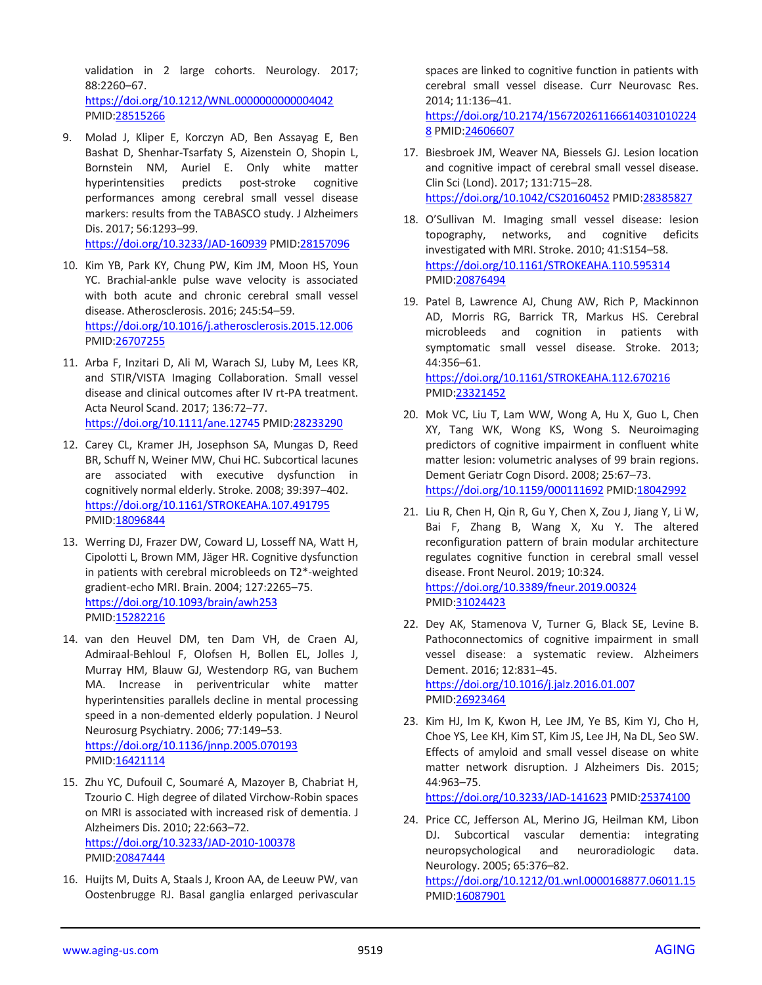validation in 2 large cohorts. Neurology. 2017; 88:2260–67. <https://doi.org/10.1212/WNL.0000000000004042>

PMID[:28515266](https://pubmed.ncbi.nlm.nih.gov/28515266)

9. Molad J, Kliper E, Korczyn AD, Ben Assayag E, Ben Bashat D, Shenhar-Tsarfaty S, Aizenstein O, Shopin L, Bornstein NM, Auriel E. Only white matter hyperintensities predicts post-stroke cognitive performances among cerebral small vessel disease markers: results from the TABASCO study. J Alzheimers Dis. 2017; 56:1293–99.

<https://doi.org/10.3233/JAD-160939> PMID[:28157096](https://pubmed.ncbi.nlm.nih.gov/28157096)

- 10. Kim YB, Park KY, Chung PW, Kim JM, Moon HS, Youn YC. Brachial-ankle pulse wave velocity is associated with both acute and chronic cerebral small vessel disease. Atherosclerosis. 2016; 245:54–59. <https://doi.org/10.1016/j.atherosclerosis.2015.12.006> PMID[:26707255](https://pubmed.ncbi.nlm.nih.gov/26707255)
- 11. Arba F, Inzitari D, Ali M, Warach SJ, Luby M, Lees KR, and STIR/VISTA Imaging Collaboration. Small vessel disease and clinical outcomes after IV rt-PA treatment. Acta Neurol Scand. 2017; 136:72–77. <https://doi.org/10.1111/ane.12745> PMI[D:28233290](https://pubmed.ncbi.nlm.nih.gov/28233290)
- 12. Carey CL, Kramer JH, Josephson SA, Mungas D, Reed BR, Schuff N, Weiner MW, Chui HC. Subcortical lacunes are associated with executive dysfunction in cognitively normal elderly. Stroke. 2008; 39:397–402. <https://doi.org/10.1161/STROKEAHA.107.491795> PMID: 18096844
- 13. Werring DJ, Frazer DW, Coward LJ, Losseff NA, Watt H, Cipolotti L, Brown MM, Jäger HR. Cognitive dysfunction in patients with cerebral microbleeds on T2\*-weighted gradient-echo MRI. Brain. 2004; 127:2265–75. <https://doi.org/10.1093/brain/awh253> PMID[:15282216](https://pubmed.ncbi.nlm.nih.gov/15282216)
- 14. van den Heuvel DM, ten Dam VH, de Craen AJ, Admiraal-Behloul F, Olofsen H, Bollen EL, Jolles J, Murray HM, Blauw GJ, Westendorp RG, van Buchem MA. Increase in periventricular white matter hyperintensities parallels decline in mental processing speed in a non-demented elderly population. J Neurol Neurosurg Psychiatry. 2006; 77:149–53. <https://doi.org/10.1136/jnnp.2005.070193> PMID[:16421114](https://pubmed.ncbi.nlm.nih.gov/16421114)
- 15. Zhu YC, Dufouil C, Soumaré A, Mazoyer B, Chabriat H, Tzourio C. High degree of dilated Virchow-Robin spaces on MRI is associated with increased risk of dementia. J Alzheimers Dis. 2010; 22:663–72. <https://doi.org/10.3233/JAD-2010-100378> PMID[:20847444](https://pubmed.ncbi.nlm.nih.gov/20847444)
- 16. Huijts M, Duits A, Staals J, Kroon AA, de Leeuw PW, van Oostenbrugge RJ. Basal ganglia enlarged perivascular

spaces are linked to cognitive function in patients with cerebral small vessel disease. Curr Neurovasc Res. 2014; 11:136–41. [https://doi.org/10.2174/156720261166614031010224](https://doi.org/10.2174/1567202611666140310102248) [8](https://doi.org/10.2174/1567202611666140310102248) PMI[D:24606607](https://pubmed.ncbi.nlm.nih.gov/24606607)

- 17. Biesbroek JM, Weaver NA, Biessels GJ. Lesion location and cognitive impact of cerebral small vessel disease. Clin Sci (Lond). 2017; 131:715–28. <https://doi.org/10.1042/CS20160452> PMID[:28385827](https://pubmed.ncbi.nlm.nih.gov/28385827)
- 18. O'Sullivan M. Imaging small vessel disease: lesion topography, networks, and cognitive deficits investigated with MRI. Stroke. 2010; 41:S154–58. <https://doi.org/10.1161/STROKEAHA.110.595314> PMI[D:20876494](https://pubmed.ncbi.nlm.nih.gov/20876494)
- 19. Patel B, Lawrence AJ, Chung AW, Rich P, Mackinnon AD, Morris RG, Barrick TR, Markus HS. Cerebral microbleeds and cognition in patients with symptomatic small vessel disease. Stroke. 2013; 44:356–61. <https://doi.org/10.1161/STROKEAHA.112.670216> PMI[D:23321452](https://pubmed.ncbi.nlm.nih.gov/23321452)
- 20. Mok VC, Liu T, Lam WW, Wong A, Hu X, Guo L, Chen XY, Tang WK, Wong KS, Wong S. Neuroimaging predictors of cognitive impairment in confluent white matter lesion: volumetric analyses of 99 brain regions. Dement Geriatr Cogn Disord. 2008; 25:67–73. <https://doi.org/10.1159/000111692> PMID[:18042992](https://pubmed.ncbi.nlm.nih.gov/18042992)
- 21. Liu R, Chen H, Qin R, Gu Y, Chen X, Zou J, Jiang Y, Li W, Bai F, Zhang B, Wang X, Xu Y. The altered reconfiguration pattern of brain modular architecture regulates cognitive function in cerebral small vessel disease. Front Neurol. 2019; 10:324. <https://doi.org/10.3389/fneur.2019.00324> PMI[D:31024423](https://pubmed.ncbi.nlm.nih.gov/31024423)
- 22. Dey AK, Stamenova V, Turner G, Black SE, Levine B. Pathoconnectomics of cognitive impairment in small vessel disease: a systematic review. Alzheimers Dement. 2016; 12:831–45. <https://doi.org/10.1016/j.jalz.2016.01.007> PMI[D:26923464](https://pubmed.ncbi.nlm.nih.gov/26923464)
- 23. Kim HJ, Im K, Kwon H, Lee JM, Ye BS, Kim YJ, Cho H, Choe YS, Lee KH, Kim ST, Kim JS, Lee JH, Na DL, Seo SW. Effects of amyloid and small vessel disease on white matter network disruption. J Alzheimers Dis. 2015; 44:963–75.

<https://doi.org/10.3233/JAD-141623> PMID[:25374100](https://pubmed.ncbi.nlm.nih.gov/25374100)

24. Price CC, Jefferson AL, Merino JG, Heilman KM, Libon DJ. Subcortical vascular dementia: integrating neuropsychological and neuroradiologic data. Neurology. 2005; 65:376–82.

<https://doi.org/10.1212/01.wnl.0000168877.06011.15> PMI[D:16087901](https://pubmed.ncbi.nlm.nih.gov/16087901)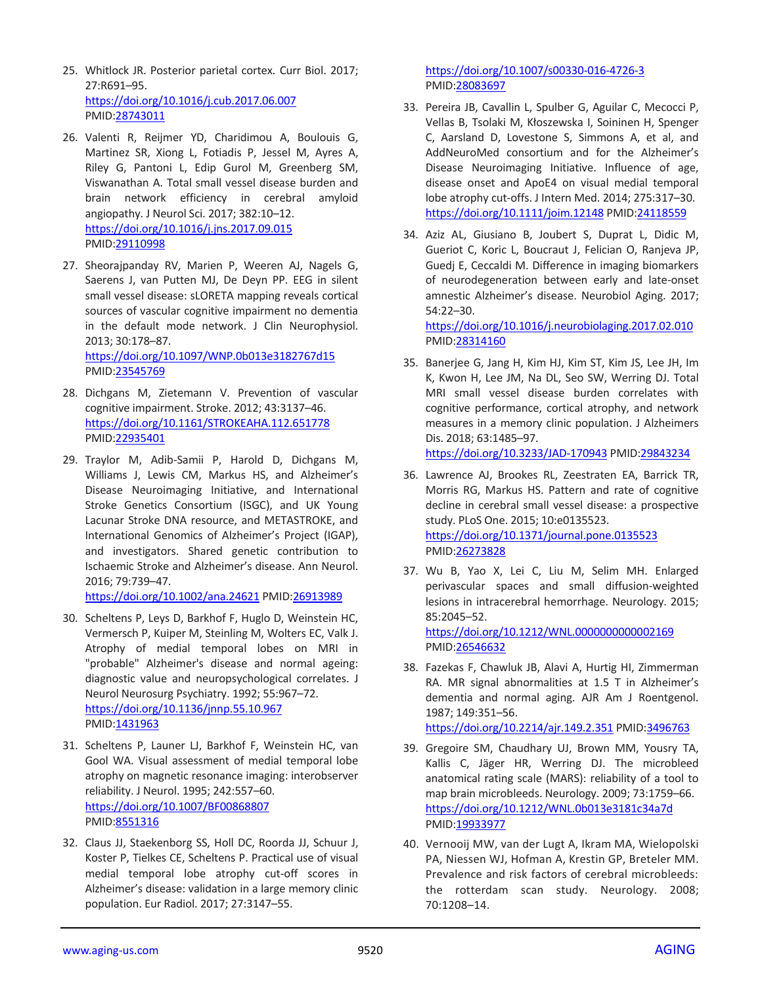- 25. Whitlock JR. Posterior parietal cortex. Curr Biol. 2017; 27:R691–95. <https://doi.org/10.1016/j.cub.2017.06.007> PMID[:28743011](https://pubmed.ncbi.nlm.nih.gov/28743011)
- 26. Valenti R, Reijmer YD, Charidimou A, Boulouis G, Martinez SR, Xiong L, Fotiadis P, Jessel M, Ayres A, Riley G, Pantoni L, Edip Gurol M, Greenberg SM, Viswanathan A. Total small vessel disease burden and brain network efficiency in cerebral amyloid angiopathy. J Neurol Sci. 2017; 382:10–12. <https://doi.org/10.1016/j.jns.2017.09.015> PMID[:29110998](https://pubmed.ncbi.nlm.nih.gov/29110998)
- 27. Sheorajpanday RV, Marien P, Weeren AJ, Nagels G, Saerens J, van Putten MJ, De Deyn PP. EEG in silent small vessel disease: sLORETA mapping reveals cortical sources of vascular cognitive impairment no dementia in the default mode network. J Clin Neurophysiol. 2013; 30:178–87.

<https://doi.org/10.1097/WNP.0b013e3182767d15> PMID[:23545769](https://pubmed.ncbi.nlm.nih.gov/23545769)

- 28. Dichgans M, Zietemann V. Prevention of vascular cognitive impairment. Stroke. 2012; 43:3137–46. <https://doi.org/10.1161/STROKEAHA.112.651778> PMID[:22935401](https://pubmed.ncbi.nlm.nih.gov/22935401)
- 29. Traylor M, Adib-Samii P, Harold D, Dichgans M, Williams J, Lewis CM, Markus HS, and Alzheimer's Disease Neuroimaging Initiative, and International Stroke Genetics Consortium (ISGC), and UK Young Lacunar Stroke DNA resource, and METASTROKE, and International Genomics of Alzheimer's Project (IGAP), and investigators. Shared genetic contribution to Ischaemic Stroke and Alzheimer's disease. Ann Neurol. 2016; 79:739–47.

<https://doi.org/10.1002/ana.24621> PMID[:26913989](https://pubmed.ncbi.nlm.nih.gov/26913989)

- 30. Scheltens P, Leys D, Barkhof F, Huglo D, Weinstein HC, Vermersch P, Kuiper M, Steinling M, Wolters EC, Valk J. Atrophy of medial temporal lobes on MRI in "probable" Alzheimer's disease and normal ageing: diagnostic value and neuropsychological correlates. J Neurol Neurosurg Psychiatry. 1992; 55:967–72. <https://doi.org/10.1136/jnnp.55.10.967> PMID[:1431963](https://pubmed.ncbi.nlm.nih.gov/1431963)
- 31. Scheltens P, Launer LJ, Barkhof F, Weinstein HC, van Gool WA. Visual assessment of medial temporal lobe atrophy on magnetic resonance imaging: interobserver reliability. J Neurol. 1995; 242:557–60. <https://doi.org/10.1007/BF00868807> PMID[:8551316](https://pubmed.ncbi.nlm.nih.gov/8551316)
- 32. Claus JJ, Staekenborg SS, Holl DC, Roorda JJ, Schuur J, Koster P, Tielkes CE, Scheltens P. Practical use of visual medial temporal lobe atrophy cut-off scores in Alzheimer's disease: validation in a large memory clinic population. Eur Radiol. 2017; 27:3147–55.

<https://doi.org/10.1007/s00330-016-4726-3> PMI[D:28083697](https://pubmed.ncbi.nlm.nih.gov/28083697)

- 33. Pereira JB, Cavallin L, Spulber G, Aguilar C, Mecocci P, Vellas B, Tsolaki M, Kłoszewska I, Soininen H, Spenger C, Aarsland D, Lovestone S, Simmons A, et al, and AddNeuroMed consortium and for the Alzheimer's Disease Neuroimaging Initiative. Influence of age, disease onset and ApoE4 on visual medial temporal lobe atrophy cut-offs. J Intern Med. 2014; 275:317–30. <https://doi.org/10.1111/joim.12148> PMID[:24118559](https://pubmed.ncbi.nlm.nih.gov/24118559)
- 34. Aziz AL, Giusiano B, Joubert S, Duprat L, Didic M, Gueriot C, Koric L, Boucraut J, Felician O, Ranjeva JP, Guedj E, Ceccaldi M. Difference in imaging biomarkers of neurodegeneration between early and late-onset amnestic Alzheimer's disease. Neurobiol Aging. 2017; 54:22–30.

<https://doi.org/10.1016/j.neurobiolaging.2017.02.010> PMI[D:28314160](https://pubmed.ncbi.nlm.nih.gov/28314160)

35. Banerjee G, Jang H, Kim HJ, Kim ST, Kim JS, Lee JH, Im K, Kwon H, Lee JM, Na DL, Seo SW, Werring DJ. Total MRI small vessel disease burden correlates with cognitive performance, cortical atrophy, and network measures in a memory clinic population. J Alzheimers Dis. 2018; 63:1485–97.

<https://doi.org/10.3233/JAD-170943> PMID[:29843234](https://pubmed.ncbi.nlm.nih.gov/29843234)

- 36. Lawrence AJ, Brookes RL, Zeestraten EA, Barrick TR, Morris RG, Markus HS. Pattern and rate of cognitive decline in cerebral small vessel disease: a prospective study. PLoS One. 2015; 10:e0135523. <https://doi.org/10.1371/journal.pone.0135523> PMI[D:26273828](https://pubmed.ncbi.nlm.nih.gov/26273828)
- 37. Wu B, Yao X, Lei C, Liu M, Selim MH. Enlarged perivascular spaces and small diffusion-weighted lesions in intracerebral hemorrhage. Neurology. 2015; 85:2045–52.

<https://doi.org/10.1212/WNL.0000000000002169> PMI[D:26546632](https://pubmed.ncbi.nlm.nih.gov/26546632)

38. Fazekas F, Chawluk JB, Alavi A, Hurtig HI, Zimmerman RA. MR signal abnormalities at 1.5 T in Alzheimer's dementia and normal aging. AJR Am J Roentgenol. 1987; 149:351–56.

<https://doi.org/10.2214/ajr.149.2.351> PMI[D:3496763](https://pubmed.ncbi.nlm.nih.gov/3496763)

- 39. Gregoire SM, Chaudhary UJ, Brown MM, Yousry TA, Kallis C, Jäger HR, Werring DJ. The microbleed anatomical rating scale (MARS): reliability of a tool to map brain microbleeds. Neurology. 2009; 73:1759–66. <https://doi.org/10.1212/WNL.0b013e3181c34a7d> PMI[D:19933977](https://pubmed.ncbi.nlm.nih.gov/19933977)
- 40. Vernooij MW, van der Lugt A, Ikram MA, Wielopolski PA, Niessen WJ, Hofman A, Krestin GP, Breteler MM. Prevalence and risk factors of cerebral microbleeds: the rotterdam scan study. Neurology. 2008; 70:1208–14.